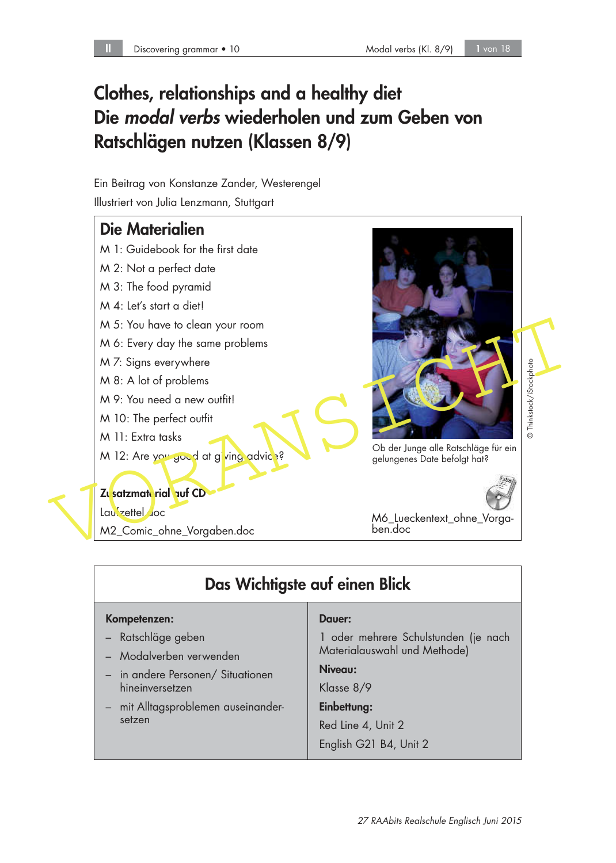# Clothes, relationships and a healthy diet Die modal verbs wiederholen und zum Geben von Ratschlägen nutzen (Klassen 8/9)

Ein Beitrag von Konstanze Zander, Westerengel Illustriert von Julia Lenzmann, Stuttgart

## Die Materialien

- M 1: Guidebook for the first date
- M 2: Not a perfect date
- M 3: The food pyramid
- M 4: Let's start a diet!
- M 5: You have to clean your room
- M 6: Every day the same problems
- M 7: Signs everywhere
- M 8: A lot of problems
- M 9: You need a new outfit!
- M 10: The perfect outfit
- M 11: Extra tasks
- M 12: Are you good at giving advice?

## Zusatzmaterial auf CD

Laufzettel.doc

M2\_Comic\_ohne\_Vorgaben.doc



Ob der Junge alle Ratschläge für ein<br>gelungenes Date befolgt hat?

M6\_Lueckentext\_ohne\_Vorgaben.doc

| Das Wichtigste auf einen Blick                       |                                                                      |  |
|------------------------------------------------------|----------------------------------------------------------------------|--|
| Kompetenzen:                                         | Dauer:                                                               |  |
| - Ratschläge geben<br>- Modalverben verwenden        | 1 oder mehrere Schulstunden (je nach<br>Materialauswahl und Methode) |  |
| - in andere Personen/ Situationen<br>hineinversetzen | Niveau:<br>Klasse 8/9                                                |  |
| - mit Alltagsproblemen auseinander-<br>setzen        | Einbettung:                                                          |  |
|                                                      | Red Line 4, Unit 2                                                   |  |
|                                                      | English G21 B4, Unit 2                                               |  |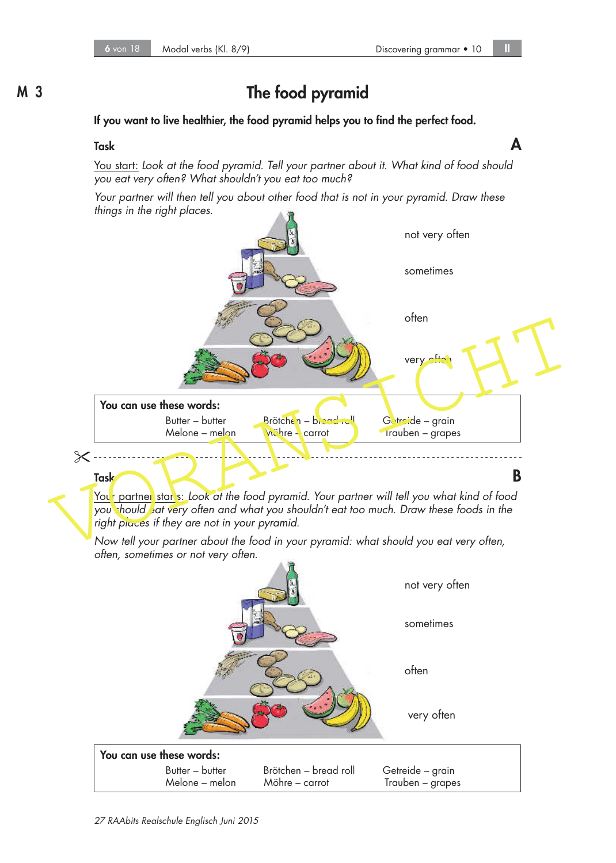# M 3 The food pyramid

#### If you want to live healthier, the food pyramid helps you to find the perfect food.

## Task  $\blacksquare$

You start: Look at the food pyramid. Tell your partner about it. What kind of food should you eat very often? What shouldn't you eat too much?

Your partner will then tell you about other food that is not in your pyramid. Draw these things in the right places.



Your partner star's: Look at the food pyramid. Your partner will tell you what kind of food you should eat very often and what you shouldn't eat too much. Draw these foods in the right places if they are not in your pyramid.

Now tell your partner about the food in your pyramid: what should you eat very often, often, sometimes or not very often.

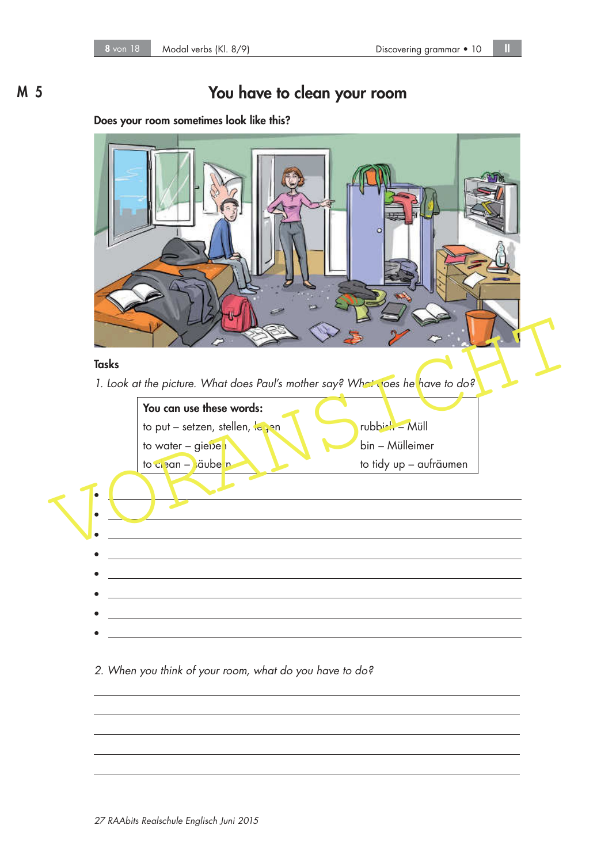# M 5 You have to clean your room

### Does your room sometimes look like this?



#### 2. When you think of your room, what do you have to do?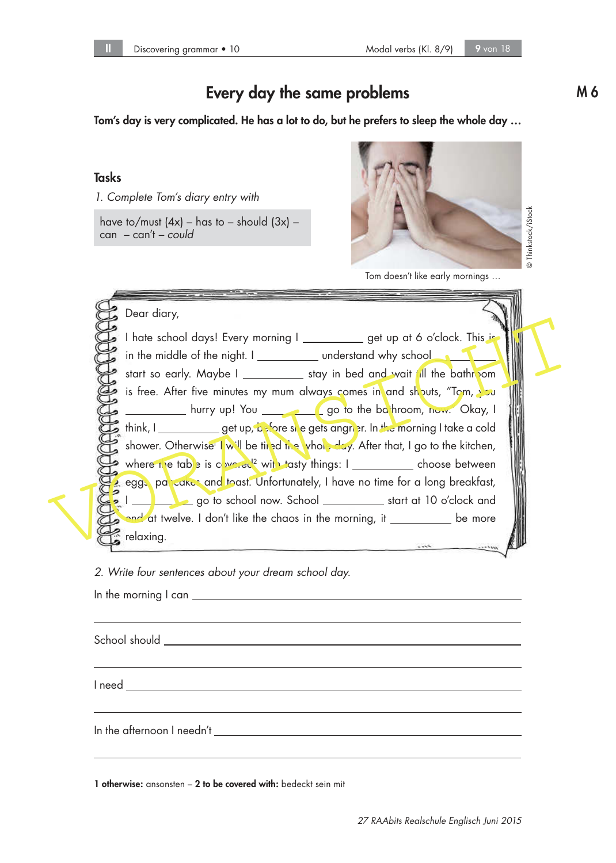# Every day the same problems and the M 6

Tom's day is very complicated. He has a lot to do, but he prefers to sleep the whole day …

### Tasks

1. Complete Tom's diary entry with

have to/must  $(4x)$  – has to – should  $(3x)$  – can – can't – could



Tom doesn't like early mornings …

| Dear diary,                                                                                                                                                                           |  |
|---------------------------------------------------------------------------------------------------------------------------------------------------------------------------------------|--|
| I hate school days! Every morning I ____________ get up at 6 o'clock. This is<br>in the middle of the night. I ______________ understand why school                                   |  |
| start so early. Maybe I _____________ stay in bed and wait fill the bathroom                                                                                                          |  |
| is free. After five minutes my mum always comes in and shouts, "Tom, you<br>__________ hurry up! You ______________________go to the ba hroom, now. Okay, I                           |  |
| think, I ____________ get up, before site gets angrier. In the morning I take a cold                                                                                                  |  |
| shower. Otherwise I will be timed the whole day. After that, I go to the kitchen,<br>where the table is $c_1 \nu c_1 \sigma c_2$ with tasty things: $1$ ______________ choose between |  |
| eggs, parcakes and toast. Unfortunately, I have no time for a long breakfast,                                                                                                         |  |
| and at twelve. I don't like the chaos in the morning, it ___________ be more                                                                                                          |  |
| relaxing.<br>$-100$<br>$m^{2}$                                                                                                                                                        |  |

2. Write four sentences about your dream school day.

In the morning I can

School should

I need

In the afternoon I needn't

1 otherwise: ansonsten - 2 to be covered with: bedeckt sein mit